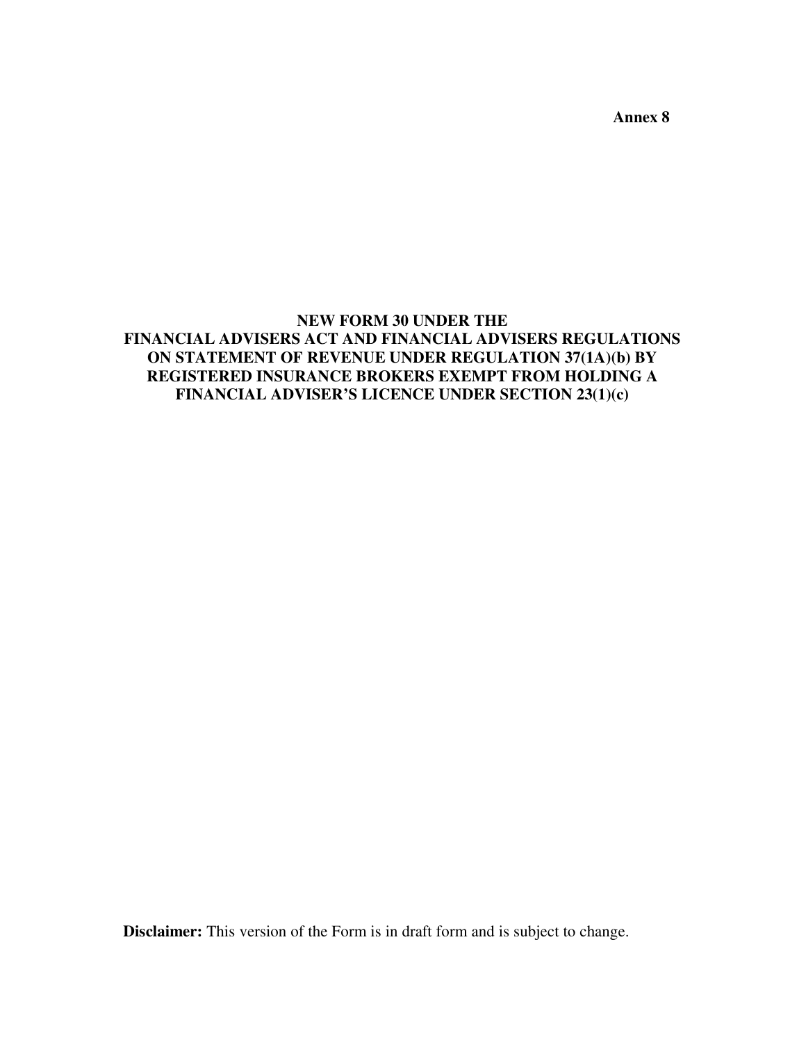**Annex 8** 

## **NEW FORM 30 UNDER THE FINANCIAL ADVISERS ACT AND FINANCIAL ADVISERS REGULATIONS ON STATEMENT OF REVENUE UNDER REGULATION 37(1A)(b) BY REGISTERED INSURANCE BROKERS EXEMPT FROM HOLDING A FINANCIAL ADVISER'S LICENCE UNDER SECTION 23(1)(c)**

**Disclaimer:** This version of the Form is in draft form and is subject to change.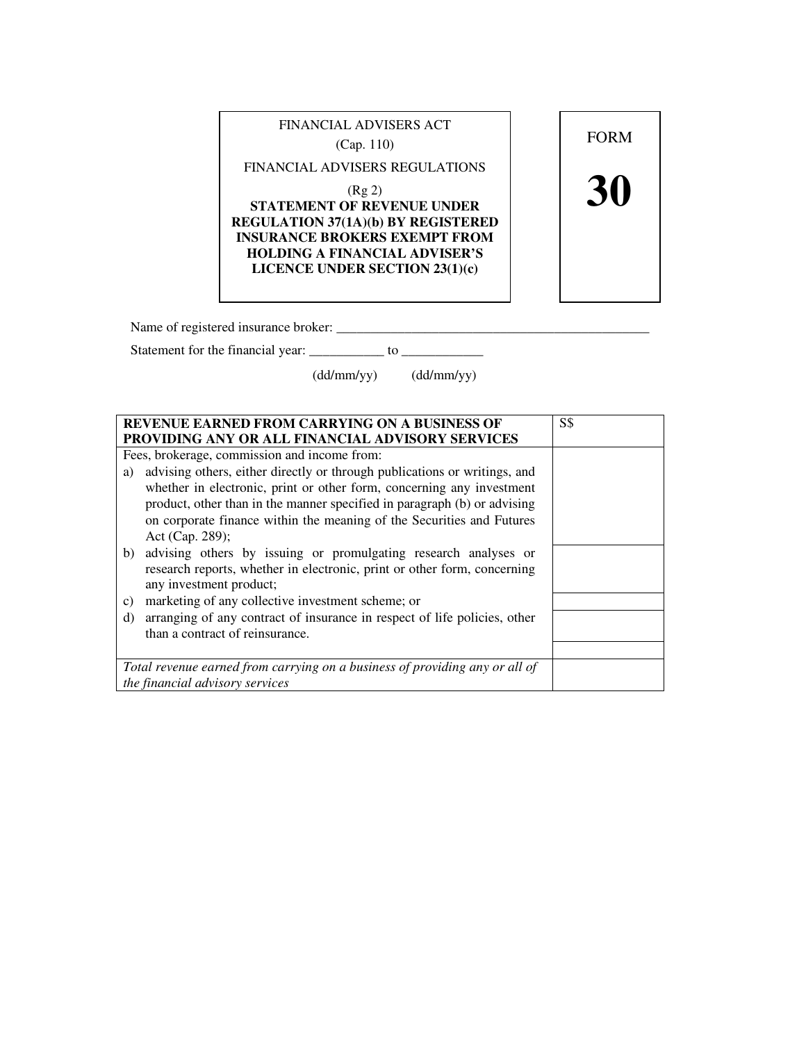| FINANCIAL ADVISERS ACT<br>(Cap. 110)                                                                                                                                                                                                           | <b>FORM</b> |
|------------------------------------------------------------------------------------------------------------------------------------------------------------------------------------------------------------------------------------------------|-------------|
| FINANCIAL ADVISERS REGULATIONS<br>(Rg 2)<br><b>STATEMENT OF REVENUE UNDER</b><br><b>REGULATION 37(1A)(b) BY REGISTERED</b><br><b>INSURANCE BROKERS EXEMPT FROM</b><br><b>HOLDING A FINANCIAL ADVISER'S</b><br>LICENCE UNDER SECTION $23(1)(c)$ |             |

Name of registered insurance broker: \_\_\_\_\_\_\_\_\_\_\_\_\_\_\_\_\_\_\_\_\_\_\_\_\_\_\_\_\_\_\_\_\_\_\_\_\_\_\_\_\_\_\_\_\_\_

Statement for the financial year: \_\_\_\_\_\_\_\_\_\_\_ to \_\_\_\_\_\_\_\_\_\_\_\_

(dd/mm/yy) (dd/mm/yy)

| <b>REVENUE EARNED FROM CARRYING ON A BUSINESS OF</b><br>PROVIDING ANY OR ALL FINANCIAL ADVISORY SERVICES                                                                  | <b>S\$</b> |
|---------------------------------------------------------------------------------------------------------------------------------------------------------------------------|------------|
| Fees, brokerage, commission and income from:                                                                                                                              |            |
|                                                                                                                                                                           |            |
| advising others, either directly or through publications or writings, and<br>a)                                                                                           |            |
| whether in electronic, print or other form, concerning any investment                                                                                                     |            |
| product, other than in the manner specified in paragraph (b) or advising                                                                                                  |            |
| on corporate finance within the meaning of the Securities and Futures                                                                                                     |            |
| Act (Cap. 289);                                                                                                                                                           |            |
| b) advising others by issuing or promulgating research analyses or<br>research reports, whether in electronic, print or other form, concerning<br>any investment product; |            |
| marketing of any collective investment scheme; or<br>c)                                                                                                                   |            |
| arranging of any contract of insurance in respect of life policies, other<br>d)                                                                                           |            |
| than a contract of reinsurance.                                                                                                                                           |            |
|                                                                                                                                                                           |            |
| Total revenue earned from carrying on a business of providing any or all of                                                                                               |            |
| the financial advisory services                                                                                                                                           |            |